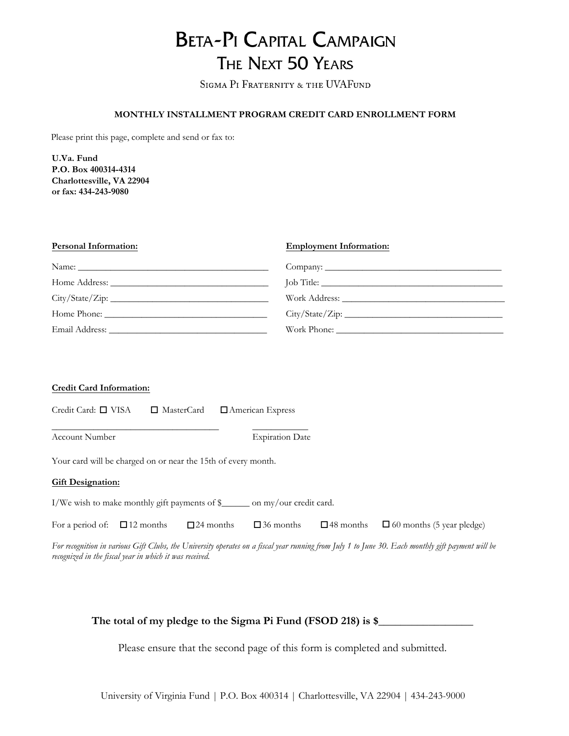## **BETA-PI CAPITAL CAMPAIGN** THE NEXT 50 YEARS

SIGMA PI FRATERNITY & THE UVAFUND

### **MONTHLY INSTALLMENT PROGRAM CREDIT CARD ENROLLMENT FORM**

Please print this page, complete and send or fax to:

**U.Va. Fund P.O. Box 400314-4314 Charlottesville, VA 22904 or fax: 434-243-9080**

| <b>Personal Information:</b> | <b>Employment Information:</b> |  |
|------------------------------|--------------------------------|--|
|                              |                                |  |
|                              |                                |  |
|                              |                                |  |
|                              |                                |  |
|                              |                                |  |

### **Credit Card Information:**

Credit Card: □ VISA □ MasterCard □ American Express □ MasterCard

Account Number Expiration Date

\_\_\_\_\_\_\_\_\_\_\_\_\_\_\_\_\_\_\_\_\_\_\_\_\_\_\_\_\_\_\_\_\_\_\_\_ \_\_\_\_\_\_\_\_\_\_\_\_

Your card will be charged on or near the 15th of every month.

### **Gift Designation:**

I/We wish to make monthly gift payments of \$\_\_\_\_\_\_ on my/our credit card.

|  |  |  |  |  | For a period of: $\Box$ 12 months $\Box$ 24 months $\Box$ 36 months $\Box$ 48 months $\Box$ 60 months (5 year pledge) |
|--|--|--|--|--|-----------------------------------------------------------------------------------------------------------------------|
|--|--|--|--|--|-----------------------------------------------------------------------------------------------------------------------|

 $\square$  48 months

*For recognition in various Gift Clubs, the University operates on a fiscal year running from July 1 to June 30. Each monthly gift payment will be recognized in the fiscal year in which it was received.* 

### The total of my pledge to the Sigma Pi Fund (FSOD 218) is \$

Please ensure that the second page of this form is completed and submitted.